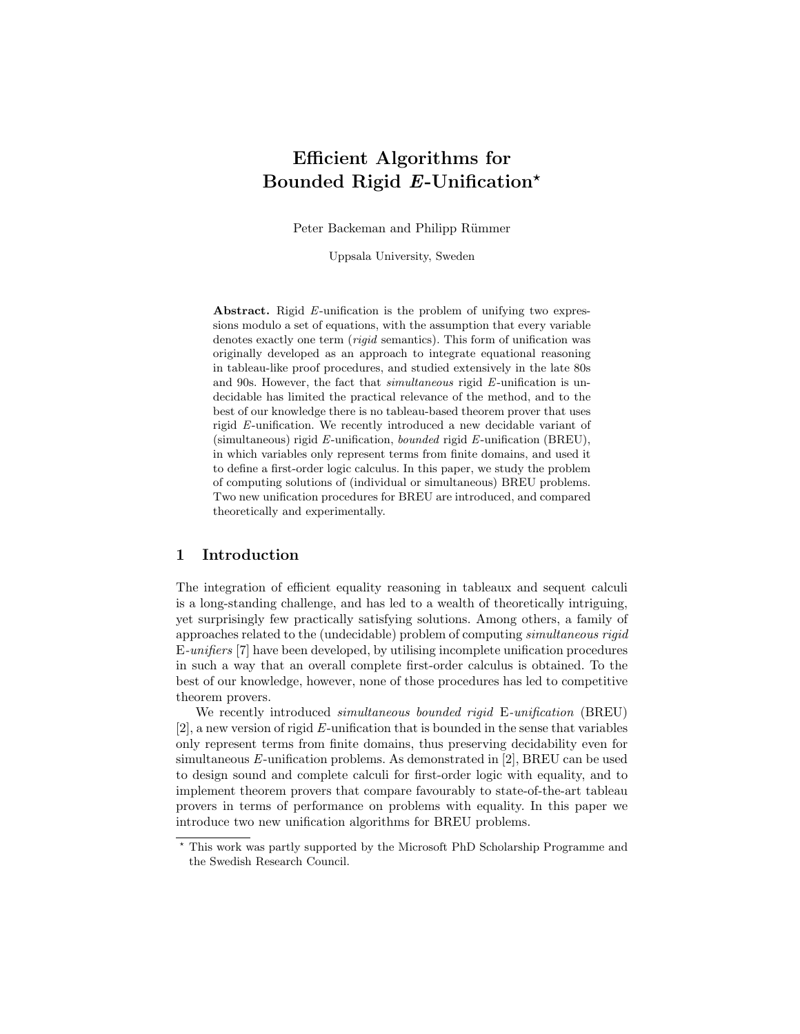# Efficient Algorithms for Bounded Rigid  $E$ -Unification<sup>\*</sup>

Peter Backeman and Philipp Rümmer

Uppsala University, Sweden

Abstract. Rigid E-unification is the problem of unifying two expressions modulo a set of equations, with the assumption that every variable denotes exactly one term (rigid semantics). This form of unification was originally developed as an approach to integrate equational reasoning in tableau-like proof procedures, and studied extensively in the late 80s and 90s. However, the fact that simultaneous rigid E-unification is undecidable has limited the practical relevance of the method, and to the best of our knowledge there is no tableau-based theorem prover that uses rigid E-unification. We recently introduced a new decidable variant of (simultaneous) rigid  $E$ -unification, *bounded* rigid  $E$ -unification (BREU), in which variables only represent terms from finite domains, and used it to define a first-order logic calculus. In this paper, we study the problem of computing solutions of (individual or simultaneous) BREU problems. Two new unification procedures for BREU are introduced, and compared theoretically and experimentally.

## 1 Introduction

The integration of efficient equality reasoning in tableaux and sequent calculi is a long-standing challenge, and has led to a wealth of theoretically intriguing, yet surprisingly few practically satisfying solutions. Among others, a family of approaches related to the (undecidable) problem of computing simultaneous rigid E-unifiers [7] have been developed, by utilising incomplete unification procedures in such a way that an overall complete first-order calculus is obtained. To the best of our knowledge, however, none of those procedures has led to competitive theorem provers.

We recently introduced *simultaneous bounded rigid* E-unification (BREU) [2], a new version of rigid E-unification that is bounded in the sense that variables only represent terms from finite domains, thus preserving decidability even for simultaneous E-unification problems. As demonstrated in [2], BREU can be used to design sound and complete calculi for first-order logic with equality, and to implement theorem provers that compare favourably to state-of-the-art tableau provers in terms of performance on problems with equality. In this paper we introduce two new unification algorithms for BREU problems.

the Swedish Research Council.

<sup>?</sup> This work was partly supported by the Microsoft PhD Scholarship Programme and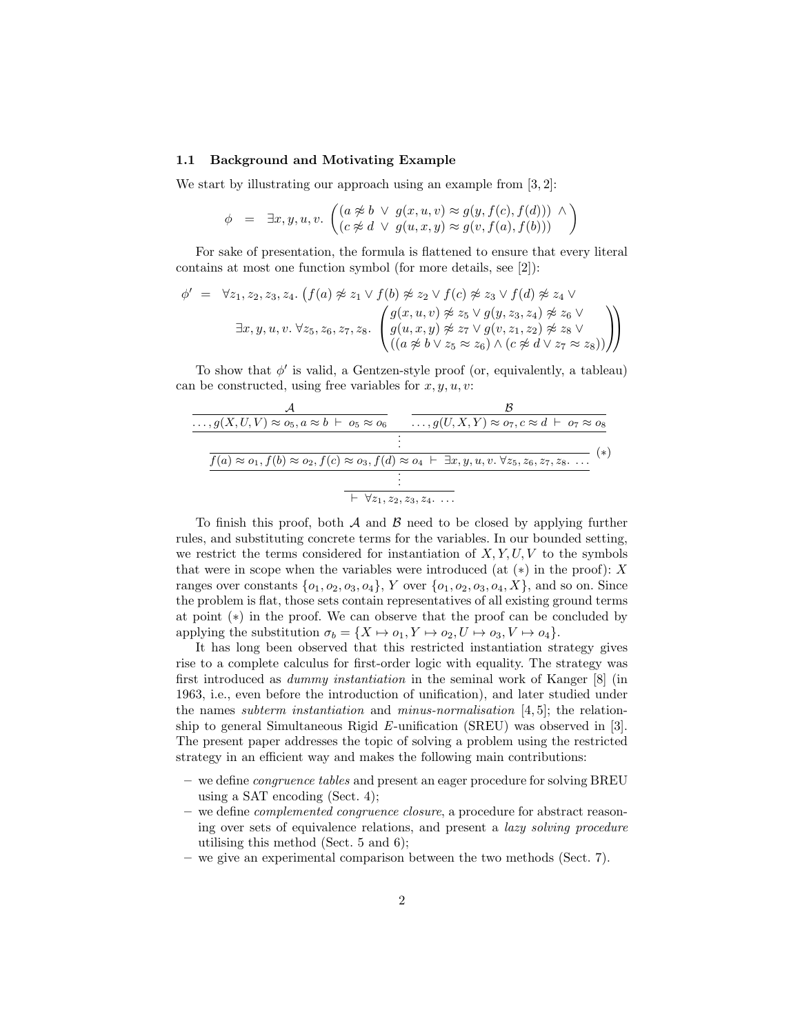#### 1.1 Background and Motivating Example

We start by illustrating our approach using an example from  $[3, 2]$ :

$$
\phi = \exists x, y, u, v. \begin{pmatrix} (a \not\approx b \lor g(x, u, v) \approx g(y, f(c), f(d))) \land \\ (c \not\approx d \lor g(u, x, y) \approx g(v, f(a), f(b))) \end{pmatrix}
$$

For sake of presentation, the formula is flattened to ensure that every literal contains at most one function symbol (for more details, see [2]):

$$
\phi' = \forall z_1, z_2, z_3, z_4. (f(a) \not\approx z_1 \lor f(b) \not\approx z_2 \lor f(c) \not\approx z_3 \lor f(d) \not\approx z_4 \lor
$$
  

$$
\exists x, y, u, v. \forall z_5, z_6, z_7, z_8. \left( \begin{array}{c} g(x, u, v) \not\approx z_5 \lor g(y, z_3, z_4) \not\approx z_6 \lor \\ g(u, x, y) \not\approx z_7 \lor g(v, z_1, z_2) \not\approx z_8 \lor \\ ((a \not\approx b \lor z_5 \approx z_6) \land (c \not\approx d \lor z_7 \approx z_8)) \end{array} \right)
$$

To show that  $\phi'$  is valid, a Gentzen-style proof (or, equivalently, a tableau) can be constructed, using free variables for  $x, y, u, v$ :

$$
\frac{\mathcal{A}}{\cdots, g(X, U, V) \approx o_5, a \approx b + o_5 \approx o_6} \qquad \qquad \overbrace{\cdots, g(U, X, Y) \approx o_7, c \approx d + o_7 \approx o_8}
$$
\n
$$
\vdots
$$
\n
$$
\overbrace{f(a) \approx o_1, f(b) \approx o_2, f(c) \approx o_3, f(d) \approx o_4 + \exists x, y, u, v. \forall z_5, z_6, z_7, z_8 \cdots}_{\vdots}
$$
\n
$$
\vdots
$$
\n
$$
\overbrace{V z_1, z_2, z_3, z_4 \cdots}_{\vdots}
$$
\n
$$
\qquad \qquad \overbrace{\cdots, g(U, X, Y) \approx o_7, c \approx d + o_7 \approx o_8}
$$
\n
$$
\qquad \qquad \overbrace{\cdots, g(U, X, Y) \approx o_7, c \approx d + o_7 \approx o_8}
$$

To finish this proof, both  $A$  and  $B$  need to be closed by applying further rules, and substituting concrete terms for the variables. In our bounded setting, we restrict the terms considered for instantiation of  $X, Y, U, V$  to the symbols that were in scope when the variables were introduced (at  $(*)$  in the proof): X ranges over constants  $\{o_1, o_2, o_3, o_4\}$ , Y over  $\{o_1, o_2, o_3, o_4, X\}$ , and so on. Since the problem is flat, those sets contain representatives of all existing ground terms at point (∗) in the proof. We can observe that the proof can be concluded by applying the substitution  $\sigma_b = \{X \mapsto o_1, Y \mapsto o_2, U \mapsto o_3, V \mapsto o_4\}.$ 

It has long been observed that this restricted instantiation strategy gives rise to a complete calculus for first-order logic with equality. The strategy was first introduced as dummy instantiation in the seminal work of Kanger [8] (in 1963, i.e., even before the introduction of unification), and later studied under the names *subterm instantiation* and *minus-normalisation*  $[4, 5]$ ; the relationship to general Simultaneous Rigid E-unification (SREU) was observed in [3]. The present paper addresses the topic of solving a problem using the restricted strategy in an efficient way and makes the following main contributions:

- we define congruence tables and present an eager procedure for solving BREU using a SAT encoding (Sect. 4);
- we define complemented congruence closure, a procedure for abstract reasoning over sets of equivalence relations, and present a lazy solving procedure utilising this method (Sect. 5 and 6);
- we give an experimental comparison between the two methods (Sect. 7).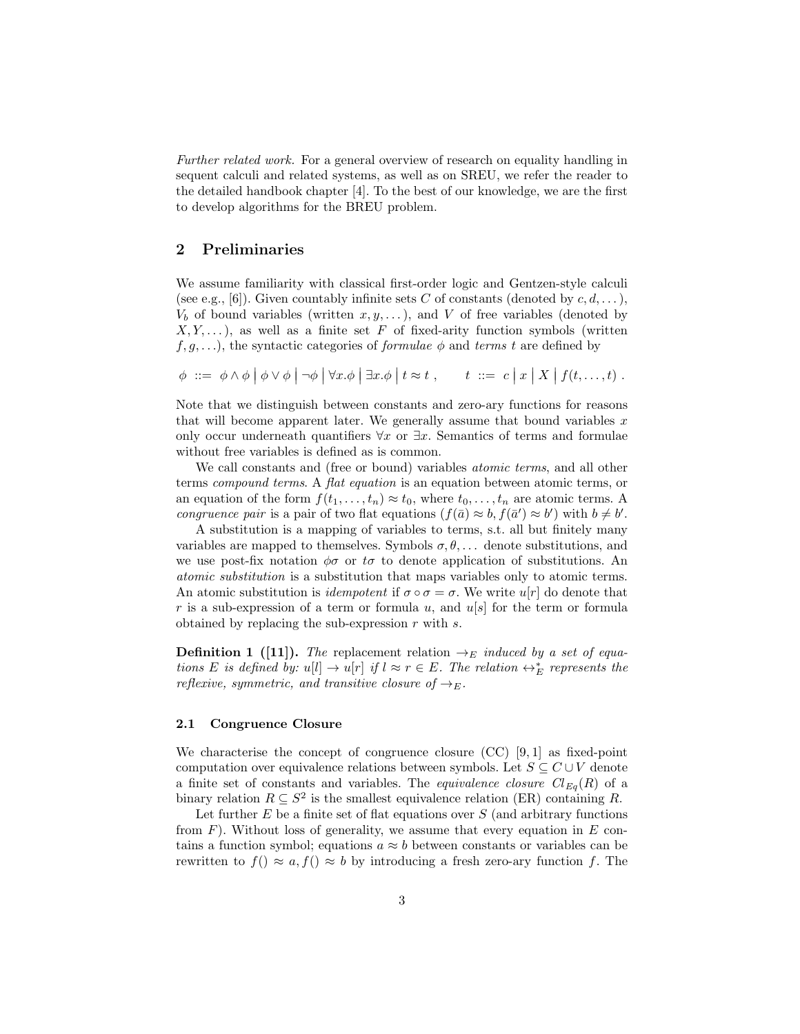Further related work. For a general overview of research on equality handling in sequent calculi and related systems, as well as on SREU, we refer the reader to the detailed handbook chapter [4]. To the best of our knowledge, we are the first to develop algorithms for the BREU problem.

# 2 Preliminaries

We assume familiarity with classical first-order logic and Gentzen-style calculi (see e.g., [6]). Given countably infinite sets C of constants (denoted by  $c, d, \ldots$ ),  $V_b$  of bound variables (written  $x, y, \ldots$ ), and V of free variables (denoted by  $X, Y, \ldots$ ), as well as a finite set F of fixed-arity function symbols (written  $f, g, \ldots$ , the syntactic categories of *formulae*  $\phi$  and *terms* t are defined by

$$
\phi \ ::= \ \phi \wedge \phi \mid \phi \vee \phi \mid \neg \phi \mid \forall x. \phi \mid \exists x. \phi \mid t \approx t \ , \qquad t \ ::= \ c \mid x \mid X \mid f(t, \dots, t) \ .
$$

Note that we distinguish between constants and zero-ary functions for reasons that will become apparent later. We generally assume that bound variables  $x$ only occur underneath quantifiers  $\forall x$  or  $\exists x$ . Semantics of terms and formulae without free variables is defined as is common.

We call constants and (free or bound) variables *atomic terms*, and all other terms compound terms. A flat equation is an equation between atomic terms, or an equation of the form  $f(t_1, \ldots, t_n) \approx t_0$ , where  $t_0, \ldots, t_n$  are atomic terms. A congruence pair is a pair of two flat equations  $(f(\bar{a}) \approx b, f(\bar{a}') \approx b')$  with  $b \neq b'$ .

A substitution is a mapping of variables to terms, s.t. all but finitely many variables are mapped to themselves. Symbols  $\sigma, \theta, \ldots$  denote substitutions, and we use post-fix notation  $\phi\sigma$  or t $\sigma$  to denote application of substitutions. An atomic substitution is a substitution that maps variables only to atomic terms. An atomic substitution is *idempotent* if  $\sigma \circ \sigma = \sigma$ . We write  $u[r]$  do denote that r is a sub-expression of a term or formula u, and  $u[s]$  for the term or formula obtained by replacing the sub-expression  $r$  with  $s$ .

**Definition 1** ([11]). The replacement relation  $\rightarrow_E$  induced by a set of equations E is defined by:  $u[l] \rightarrow u[r]$  if  $l \approx r \in E$ . The relation  $\leftrightarrow_E^*$  represents the reflexive, symmetric, and transitive closure of  $\rightarrow_E$ .

### 2.1 Congruence Closure

We characterise the concept of congruence closure (CC) [9, 1] as fixed-point computation over equivalence relations between symbols. Let  $S \subseteq C \cup V$  denote a finite set of constants and variables. The *equivalence closure*  $Cl_{Eq}(R)$  of a binary relation  $R \subseteq S^2$  is the smallest equivalence relation (ER) containing R.

Let further  $E$  be a finite set of flat equations over  $S$  (and arbitrary functions from  $F$ ). Without loss of generality, we assume that every equation in  $E$  contains a function symbol; equations  $a \approx b$  between constants or variables can be rewritten to  $f() \approx a, f() \approx b$  by introducing a fresh zero-ary function f. The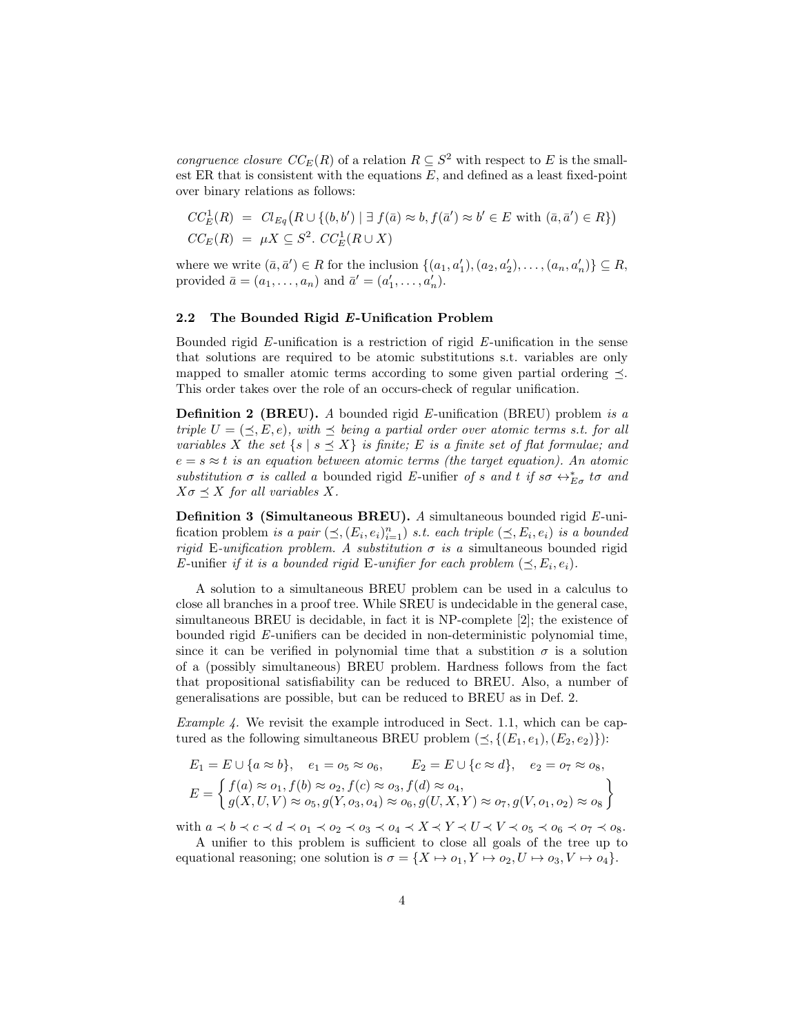congruence closure  $CC_E(R)$  of a relation  $R \subseteq S^2$  with respect to E is the smallest ER that is consistent with the equations  $E$ , and defined as a least fixed-point over binary relations as follows:

$$
CC_E^1(R) = Cl_{Eq}(R \cup \{(b, b') \mid \exists f(\bar{a}) \approx b, f(\bar{a}') \approx b' \in E \text{ with } (\bar{a}, \bar{a}') \in R\})
$$
  

$$
CC_E(R) = \mu X \subseteq S^2 \cdot CC_E^1(R \cup X)
$$

where we write  $(\bar{a}, \bar{a}') \in R$  for the inclusion  $\{(a_1, a'_1), (a_2, a'_2), \ldots, (a_n, a'_n)\} \subseteq R$ , provided  $\bar{a} = (a_1, \ldots, a_n)$  and  $\bar{a}' = (a'_1, \ldots, a'_n)$ .

#### 2.2 The Bounded Rigid E-Unification Problem

Bounded rigid  $E$ -unification is a restriction of rigid  $E$ -unification in the sense that solutions are required to be atomic substitutions s.t. variables are only mapped to smaller atomic terms according to some given partial ordering  $\preceq$ . This order takes over the role of an occurs-check of regular unification.

**Definition 2 (BREU).** A bounded rigid E-unification (BREU) problem is a triple  $U = (\preceq, E, e)$ , with  $\preceq$  being a partial order over atomic terms s.t. for all variables X the set  $\{s \mid s \leq X\}$  is finite; E is a finite set of flat formulae; and  $e = s \approx t$  is an equation between atomic terms (the target equation). An atomic substitution  $\sigma$  is called a bounded rigid E-unifier of s and t if so  $\leftrightarrow_{E_{\sigma}}^* t_{\sigma}$  and  $X\sigma \preceq X$  for all variables X.

Definition 3 (Simultaneous BREU). A simultaneous bounded rigid E-unification problem is a pair  $(\preceq, (E_i, e_i)_{i=1}^n)$  s.t. each triple  $(\preceq, E_i, e_i)$  is a bounded rigid E-unification problem. A substitution  $\sigma$  is a simultaneous bounded rigid E-unifier if it is a bounded rigid E-unifier for each problem  $(\preceq, E_i, e_i)$ .

A solution to a simultaneous BREU problem can be used in a calculus to close all branches in a proof tree. While SREU is undecidable in the general case, simultaneous BREU is decidable, in fact it is NP-complete [2]; the existence of bounded rigid E-unifiers can be decided in non-deterministic polynomial time, since it can be verified in polynomial time that a substition  $\sigma$  is a solution of a (possibly simultaneous) BREU problem. Hardness follows from the fact that propositional satisfiability can be reduced to BREU. Also, a number of generalisations are possible, but can be reduced to BREU as in Def. 2.

Example 4. We revisit the example introduced in Sect. 1.1, which can be captured as the following simultaneous BREU problem  $(\preceq, \{(E_1, e_1), (E_2, e_2)\})$ :

$$
E_1 = E \cup \{a \approx b\}, \quad e_1 = o_5 \approx o_6, \quad E_2 = E \cup \{c \approx d\}, \quad e_2 = o_7 \approx o_8,
$$
  
\n
$$
E = \begin{cases} f(a) \approx o_1, f(b) \approx o_2, f(c) \approx o_3, f(d) \approx o_4, \\ g(X, U, V) \approx o_5, g(Y, o_3, o_4) \approx o_6, g(U, X, Y) \approx o_7, g(V, o_1, o_2) \approx o_8 \end{cases}
$$

with  $a \prec b \prec c \prec d \prec o_1 \prec o_2 \prec o_3 \prec o_4 \prec X \prec Y \prec U \prec V \prec o_5 \prec o_6 \prec o_7 \prec o_8$ .

A unifier to this problem is sufficient to close all goals of the tree up to equational reasoning; one solution is  $\sigma = \{X \mapsto o_1, Y \mapsto o_2, U \mapsto o_3, V \mapsto o_4\}.$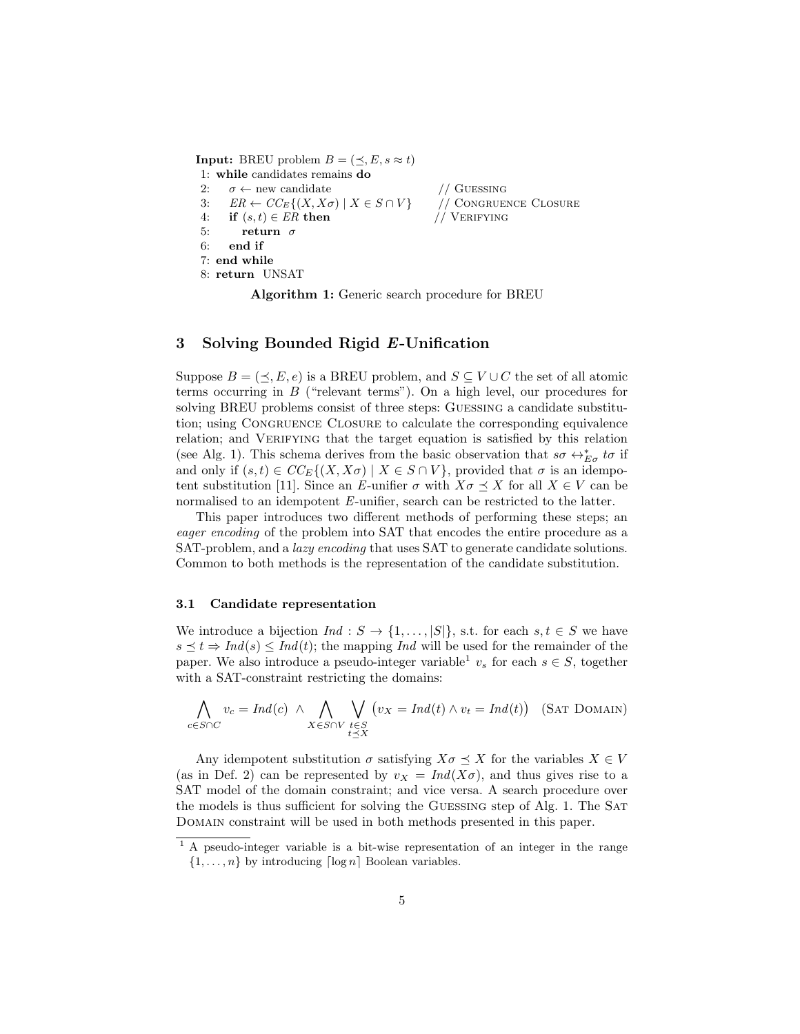**Input:** BREU problem  $B = (\leq, E, s \approx t)$ 1: while candidates remains do 2:  $\sigma \leftarrow$  new candidate // GUESSING 3:  $ER \leftarrow CC_E\{(X, X\sigma) | X \in S \cap V\}$  // CONGRUENCE CLOSURE 4: if  $(s, t) \in ER$  then // VERIFYING 5: return  $\sigma$ 6: end if 7: end while 8: return UNSAT

Algorithm 1: Generic search procedure for BREU

## 3 Solving Bounded Rigid E-Unification

Suppose  $B = (\preceq, E, e)$  is a BREU problem, and  $S \subseteq V \cup C$  the set of all atomic terms occurring in B ("relevant terms"). On a high level, our procedures for solving BREU problems consist of three steps: Guessing a candidate substitution; using Congruence Closure to calculate the corresponding equivalence relation; and VERIFYING that the target equation is satisfied by this relation (see Alg. 1). This schema derives from the basic observation that  $s\sigma \leftrightarrow_{E\sigma}^* t\sigma$  if and only if  $(s, t) \in CC_E\{(X, X\sigma) \mid X \in S \cap V\}$ , provided that  $\sigma$  is an idempotent substitution [11]. Since an E-unifier  $\sigma$  with  $X\sigma \preceq X$  for all  $X \in V$  can be normalised to an idempotent E-unifier, search can be restricted to the latter.

This paper introduces two different methods of performing these steps; an eager encoding of the problem into SAT that encodes the entire procedure as a SAT-problem, and a lazy encoding that uses SAT to generate candidate solutions. Common to both methods is the representation of the candidate substitution.

#### 3.1 Candidate representation

We introduce a bijection  $Ind: S \to \{1, \ldots, |S|\}$ , s.t. for each  $s, t \in S$  we have  $s \preceq t \Rightarrow Ind(s) \leq Ind(t)$ ; the mapping Ind will be used for the remainder of the paper. We also introduce a pseudo-integer variable<sup>1</sup>  $v_s$  for each  $s \in S$ , together with a SAT-constraint restricting the domains:

$$
\bigwedge_{c \in S \cap C} v_c = Ind(c) \ \wedge \bigwedge_{X \in S \cap V} \bigvee_{\substack{t \in S \\ t \prec X}} (v_X = Ind(t) \wedge v_t = Ind(t)) \quad \text{(SAT DOMAIN)}
$$

Any idempotent substitution  $\sigma$  satisfying  $X\sigma \preceq X$  for the variables  $X \in V$ (as in Def. 2) can be represented by  $v_X = Ind(X\sigma)$ , and thus gives rise to a SAT model of the domain constraint; and vice versa. A search procedure over the models is thus sufficient for solving the Guessing step of Alg. 1. The Sat DOMAIN constraint will be used in both methods presented in this paper.

<sup>1</sup> A pseudo-integer variable is a bit-wise representation of an integer in the range  $\{1, \ldots, n\}$  by introducing  $\lceil \log n \rceil$  Boolean variables.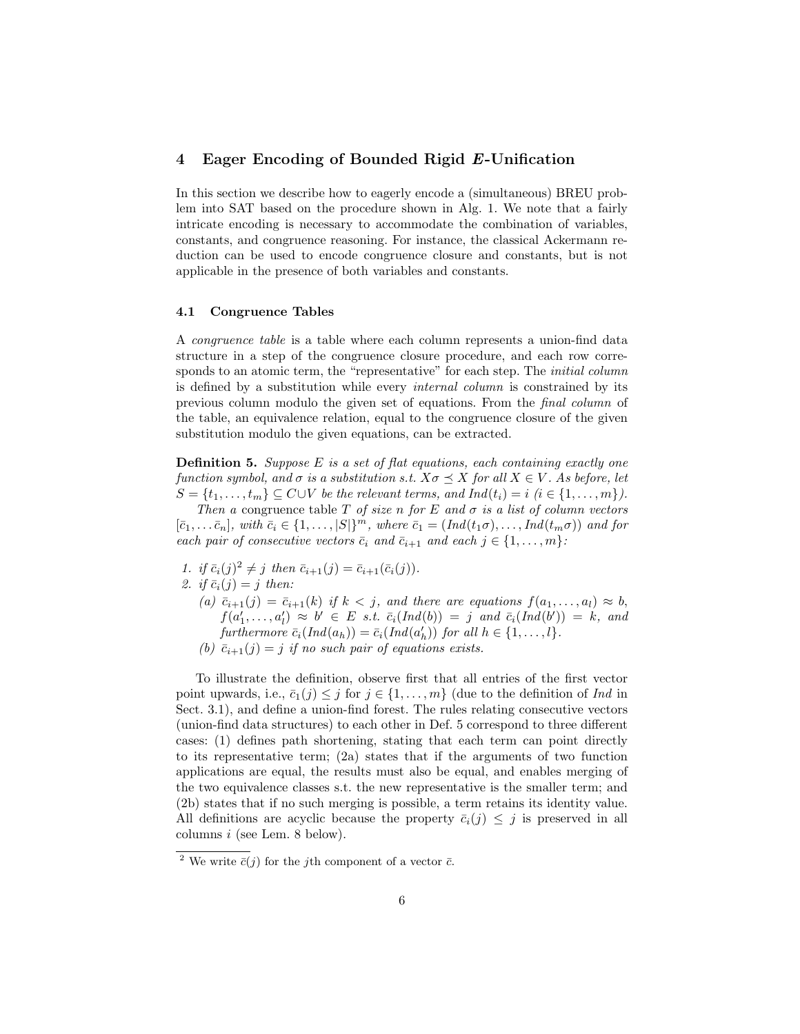# 4 Eager Encoding of Bounded Rigid E-Unification

In this section we describe how to eagerly encode a (simultaneous) BREU problem into SAT based on the procedure shown in Alg. 1. We note that a fairly intricate encoding is necessary to accommodate the combination of variables, constants, and congruence reasoning. For instance, the classical Ackermann reduction can be used to encode congruence closure and constants, but is not applicable in the presence of both variables and constants.

#### 4.1 Congruence Tables

A congruence table is a table where each column represents a union-find data structure in a step of the congruence closure procedure, and each row corresponds to an atomic term, the "representative" for each step. The *initial column* is defined by a substitution while every internal column is constrained by its previous column modulo the given set of equations. From the final column of the table, an equivalence relation, equal to the congruence closure of the given substitution modulo the given equations, can be extracted.

**Definition 5.** Suppose  $E$  is a set of flat equations, each containing exactly one function symbol, and  $\sigma$  is a substitution s.t.  $X\sigma \preceq X$  for all  $X \in V$ . As before, let  $S = \{t_1, \ldots, t_m\} \subseteq C \cup V$  be the relevant terms, and  $Ind(t_i) = i \ (i \in \{1, \ldots, m\}).$ 

Then a congruence table  $T$  of size n for  $E$  and  $\sigma$  is a list of column vectors  $[\bar{c}_1, \ldots \bar{c}_n],$  with  $\bar{c}_i \in \{1, \ldots, |S|\}^m$ , where  $\bar{c}_1 = (Ind(t_1\sigma), \ldots, Ind(t_m\sigma))$  and for each pair of consecutive vectors  $\bar{c}_i$  and  $\bar{c}_{i+1}$  and each  $j \in \{1, \ldots, m\}$ :

- 1. if  $\bar{c}_i(j)^2 \neq j$  then  $\bar{c}_{i+1}(j) = \bar{c}_{i+1}(\bar{c}_i(j)).$
- 2. if  $\bar{c}_i(j) = j$  then:
	- (a)  $\bar{c}_{i+1}(j) = \bar{c}_{i+1}(k)$  if  $k < j$ , and there are equations  $f(a_1, \ldots, a_l) \approx b$ ,  $f(a'_1,\ldots,a'_l) \approx b' \in E$  s.t.  $\bar{c}_i(Ind(b)) = j$  and  $\bar{c}_i(Ind(b')) = k$ , and furthermore  $\bar{c}_i(Ind(a_h)) = \bar{c}_i(Ind(a'_h))$  for all  $h \in \{1, ..., l\}$ .
	- (b)  $\bar{c}_{i+1}(j) = j$  if no such pair of equations exists.

To illustrate the definition, observe first that all entries of the first vector point upwards, i.e.,  $\bar{c}_1(j) \leq j$  for  $j \in \{1, \ldots, m\}$  (due to the definition of Ind in Sect. 3.1), and define a union-find forest. The rules relating consecutive vectors (union-find data structures) to each other in Def. 5 correspond to three different cases: (1) defines path shortening, stating that each term can point directly to its representative term; (2a) states that if the arguments of two function applications are equal, the results must also be equal, and enables merging of the two equivalence classes s.t. the new representative is the smaller term; and (2b) states that if no such merging is possible, a term retains its identity value. All definitions are acyclic because the property  $\bar{c}_i(j) \leq j$  is preserved in all columns i (see Lem. 8 below).

<sup>&</sup>lt;sup>2</sup> We write  $\overline{c}(i)$  for the *j*th component of a vector  $\overline{c}$ .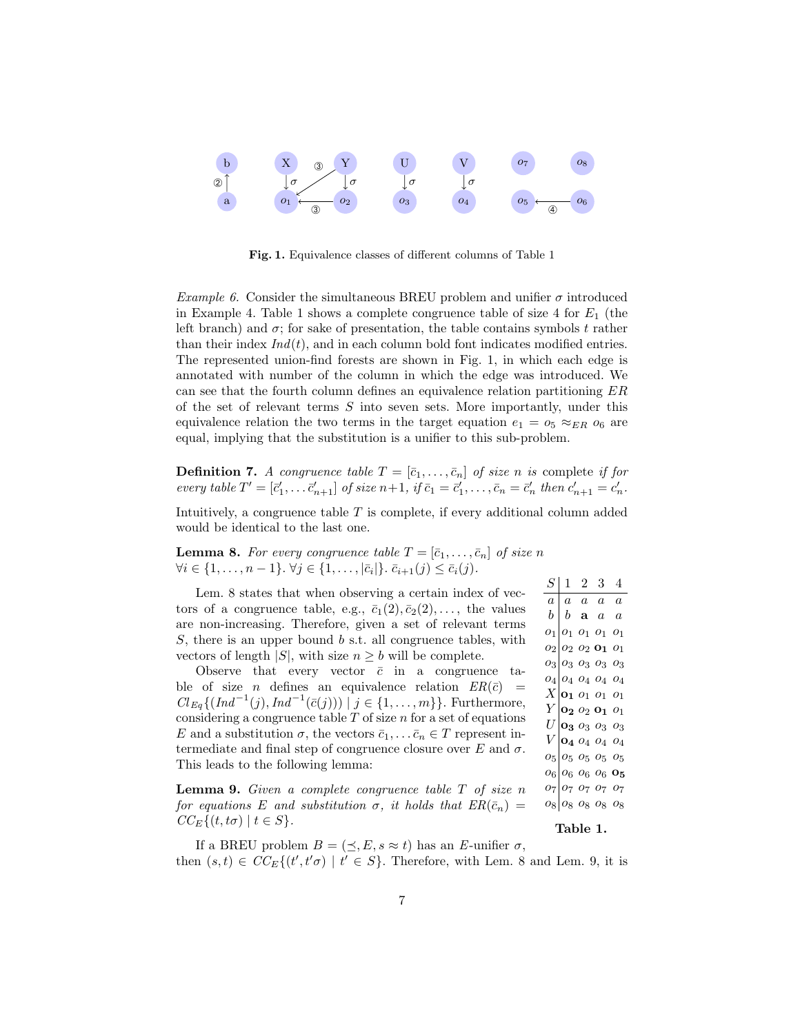

Fig. 1. Equivalence classes of different columns of Table 1

Example 6. Consider the simultaneous BREU problem and unifier  $\sigma$  introduced in Example 4. Table 1 shows a complete congruence table of size 4 for  $E_1$  (the left branch) and  $\sigma$ ; for sake of presentation, the table contains symbols t rather than their index  $Ind(t)$ , and in each column bold font indicates modified entries. The represented union-find forests are shown in Fig. 1, in which each edge is annotated with number of the column in which the edge was introduced. We can see that the fourth column defines an equivalence relation partitioning ER of the set of relevant terms  $S$  into seven sets. More importantly, under this equivalence relation the two terms in the target equation  $e_1 = o_5 \approx_{ER} o_6$  are equal, implying that the substitution is a unifier to this sub-problem.

**Definition 7.** A congruence table  $T = [\bar{c}_1, \ldots, \bar{c}_n]$  of size n is complete if for every table  $T' = [\bar{c}'_1, \ldots \bar{c}'_{n+1}]$  of size  $n+1$ , if  $\bar{c}_1 = \bar{c}'_1, \ldots, \bar{c}_n = \bar{c}'_n$  then  $c'_{n+1} = c'_n$ .

Intuitively, a congruence table T is complete, if every additional column added would be identical to the last one.

**Lemma 8.** For every congruence table  $T = [\bar{c}_1, \ldots, \bar{c}_n]$  of size n  $\forall i \in \{1, ..., n-1\}$ .  $\forall j \in \{1, ..., |\bar{c}_i|\}$ .  $\bar{c}_{i+1}(j) \leq \bar{c}_i(j)$ .

 $o_1$   $o_1$   $o_1$   $o_1$   $o_1$  $o_2$   $o_2$   $o_1$   $o_1$  $o_3$   $o_3$   $o_3$   $o_3$ Lem. 8 states that when observing a certain index of vectors of a congruence table, e.g.,  $\bar{c}_1(2), \bar{c}_2(2), \ldots$ , the values are non-increasing. Therefore, given a set of relevant terms S, there is an upper bound  $b$  s.t. all congruence tables, with vectors of length  $|S|$ , with size  $n \geq b$  will be complete.

Observe that every vector  $\bar{c}$  in a congruence table of size *n* defines an equivalence relation  $ER(\bar{c})$  =  $Cl_{Eq}\{(Ind^{-1}(j),Ind^{-1}(\bar{c}(j))) | j \in \{1,\ldots,m\}\}.$  Furthermore, considering a congruence table  $T$  of size  $n$  for a set of equations E and a substitution  $\sigma$ , the vectors  $\bar{c}_1, \ldots \bar{c}_n \in T$  represent intermediate and final step of congruence closure over  $E$  and  $\sigma$ . This leads to the following lemma:

 $o_7$   $o_7$   $o_7$   $o_7$   $o_7$  $o_8$   $o_8$   $o_8$   $o_8$   $o_8$ **Lemma 9.** Given a complete congruence table  $T$  of size  $n$ for equations E and substitution  $\sigma$ , it holds that  $ER(\bar{c}_n)$  =  $CC<sub>E</sub> \{(t, t\sigma) \mid t \in S\}.$ 

If a BREU problem  $B = (\leq, E, s \approx t)$  has an E-unifier  $\sigma$ , then  $(s,t) \in CC_E\{(t',t'\sigma) \mid t' \in S\}$ . Therefore, with Lem. 8 and Lem. 9, it is

Table 1.

 $S \begin{bmatrix} 1 & 2 & 3 & 4 \end{bmatrix}$  $a \mid a \mid a \mid a \mid a$  $b \mid b$  a a a

 $o_4$   $o_4$   $o_4$   $o_4$  $X|o_1 o_1 o_1 o_1$  $Y|o_2 o_2 o_1 o_1$  $U|_{\mathbf{O_3}}$   $o_3$   $o_3$   $o_3$  $V|_{\mathbf{0}_4\,0_4\,0_4\,0_4}$  $o_5$   $o_5$   $o_5$   $o_5$   $o_5$  $o_6$   $o_6$   $o_6$   $o_6$   $o_5$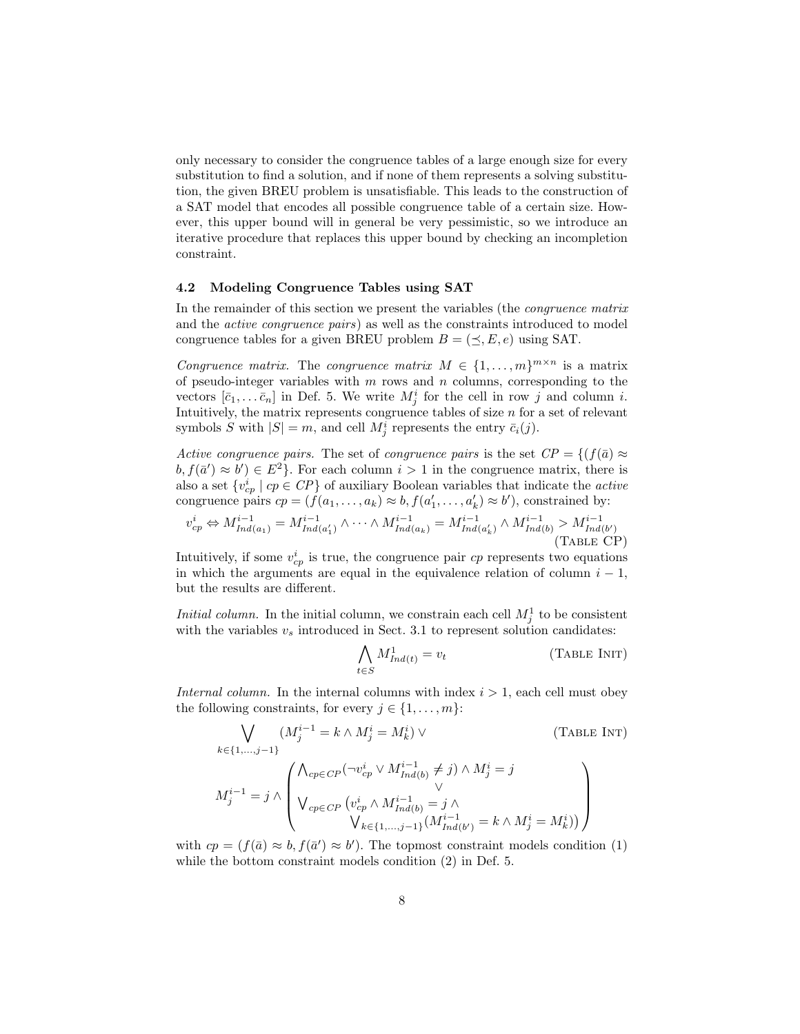only necessary to consider the congruence tables of a large enough size for every substitution to find a solution, and if none of them represents a solving substitution, the given BREU problem is unsatisfiable. This leads to the construction of a SAT model that encodes all possible congruence table of a certain size. However, this upper bound will in general be very pessimistic, so we introduce an iterative procedure that replaces this upper bound by checking an incompletion constraint.

## 4.2 Modeling Congruence Tables using SAT

In the remainder of this section we present the variables (the congruence matrix and the active congruence pairs) as well as the constraints introduced to model congruence tables for a given BREU problem  $B = (\prec, E, e)$  using SAT.

Congruence matrix. The congruence matrix  $M \in \{1, ..., m\}^{m \times n}$  is a matrix of pseudo-integer variables with  $m$  rows and  $n$  columns, corresponding to the vectors  $[\bar{c}_1, \ldots \bar{c}_n]$  in Def. 5. We write  $M_j^i$  for the cell in row j and column i. Intuitively, the matrix represents congruence tables of size  $n$  for a set of relevant symbols S with  $|S| = m$ , and cell  $M_j^i$  represents the entry  $\bar{c}_i(j)$ .

Active congruence pairs. The set of congruence pairs is the set  $CP = \{(f(\bar{a}) \approx$  $b, f(\bar{a}') \approx b' \in E^2$ . For each column  $i > 1$  in the congruence matrix, there is also a set  ${v_{cp}^i \mid cp \in CP}$  of auxiliary Boolean variables that indicate the *active* congruence pairs  $cp = (f(a_1, \ldots, a_k) \approx b, f(a'_1, \ldots, a'_k) \approx b')$ , constrained by:

$$
v_{cp}^{i} \Leftrightarrow M_{Ind(a_{1})}^{i-1} = M_{Ind(a'_{1})}^{i-1} \wedge \cdots \wedge M_{Ind(a_{k})}^{i-1} = M_{Ind(a'_{k})}^{i-1} \wedge M_{Ind(b)}^{i-1} > M_{Ind(b')}^{i-1}
$$
\n(TABLE CP)

Intuitively, if some  $v_{cp}^i$  is true, the congruence pair cp represents two equations in which the arguments are equal in the equivalence relation of column  $i - 1$ , but the results are different.

*Initial column*. In the initial column, we constrain each cell  $M_j^1$  to be consistent with the variables  $v_s$  introduced in Sect. 3.1 to represent solution candidates:

$$
\bigwedge_{t \in S} M_{Ind(t)}^1 = v_t \tag{TABLE INT}
$$

Internal column. In the internal columns with index  $i > 1$ , each cell must obey the following constraints, for every  $j \in \{1, \ldots, m\}$ :

$$
\bigvee_{k \in \{1, \dots, j-1\}} (M_j^{i-1} = k \wedge M_j^i = M_k^i) \vee \qquad \qquad \text{(Table INT)}
$$
\n
$$
M_j^{i-1} = j \wedge \left( \bigwedge_{cp \in CP} (\neg v_{cp}^i \wedge M_{Ind(b)}^{i-1} \neq j) \wedge M_j^i = j \right)
$$
\n
$$
M_j^{i-1} = j \wedge \left( \bigvee_{cp \in CP} (v_{cp}^i \wedge M_{Ind(b)}^{i-1} = j \wedge \bigvee_{k \in \{1, \dots, j-1\}} (M_{Ind(b)}^{i-1} = k \wedge M_j^i = M_k^i) \right)
$$

with  $cp = (f(\bar{a}) \approx b, f(\bar{a}') \approx b')$ . The topmost constraint models condition (1) while the bottom constraint models condition (2) in Def. 5.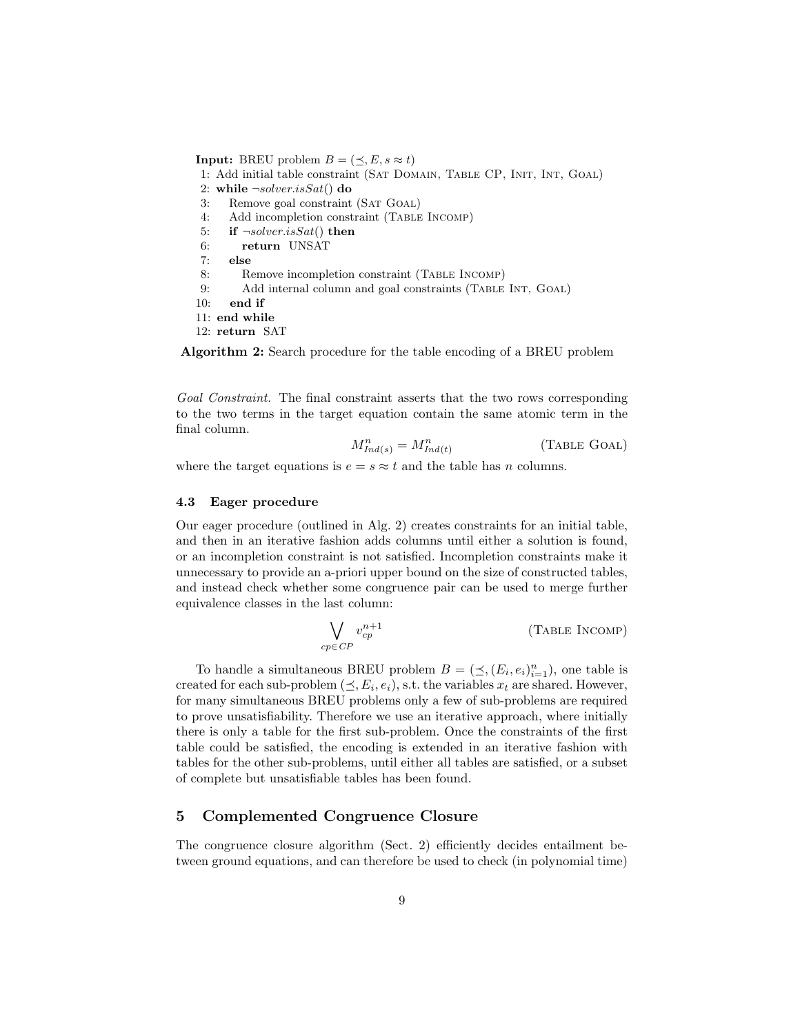**Input:** BREU problem  $B = (\preceq, E, s \approx t)$ 

1: Add initial table constraint (Sat Domain, Table CP, Init, Int, Goal)

- 2: while  $\neg solver.isSat()$  do
- 3: Remove goal constraint (SAT GOAL)
- 4: Add incompletion constraint (Table Incomp)
- 5: if  $\neg solve \, r.isSat()$  then
- 6: return UNSAT
- 7: else
- 8: Remove incompletion constraint (TABLE INCOMP)
- 9: Add internal column and goal constraints (TABLE INT, GOAL)
- 10: end if
- 11: end while
- 12: return SAT

Algorithm 2: Search procedure for the table encoding of a BREU problem

Goal Constraint. The final constraint asserts that the two rows corresponding to the two terms in the target equation contain the same atomic term in the final column.

$$
M_{Ind(s)}^n = M_{Ind(t)}^n
$$
 (TABLE GOAL)

where the target equations is  $e = s \approx t$  and the table has *n* columns.

## 4.3 Eager procedure

Our eager procedure (outlined in Alg. 2) creates constraints for an initial table, and then in an iterative fashion adds columns until either a solution is found, or an incompletion constraint is not satisfied. Incompletion constraints make it unnecessary to provide an a-priori upper bound on the size of constructed tables, and instead check whether some congruence pair can be used to merge further equivalence classes in the last column:

$$
\bigvee_{p \in CP} v_{cp}^{n+1}
$$
 (TABLE INCOMP)

To handle a simultaneous BREU problem  $B = (\preceq, (E_i, e_i)_{i=1}^n)$ , one table is created for each sub-problem  $(\leq, E_i, e_i)$ , s.t. the variables  $x_t$  are shared. However, for many simultaneous BREU problems only a few of sub-problems are required to prove unsatisfiability. Therefore we use an iterative approach, where initially there is only a table for the first sub-problem. Once the constraints of the first table could be satisfied, the encoding is extended in an iterative fashion with tables for the other sub-problems, until either all tables are satisfied, or a subset of complete but unsatisfiable tables has been found.

## 5 Complemented Congruence Closure

 $\epsilon$ 

The congruence closure algorithm (Sect. 2) efficiently decides entailment between ground equations, and can therefore be used to check (in polynomial time)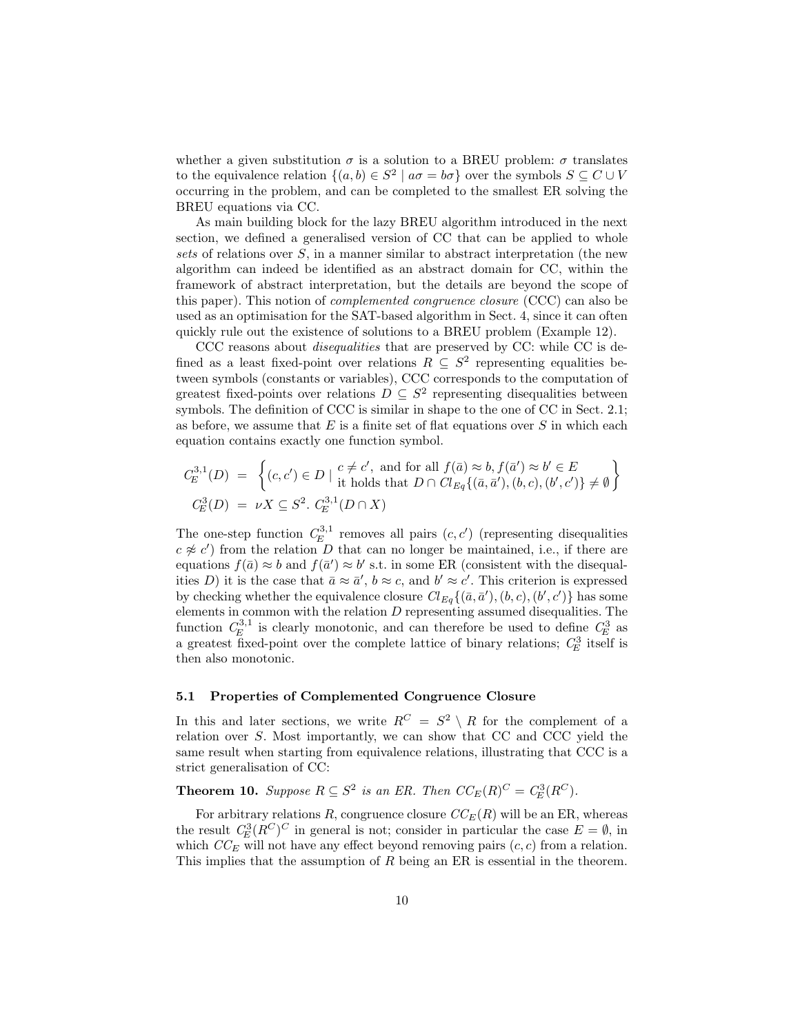whether a given substitution  $\sigma$  is a solution to a BREU problem:  $\sigma$  translates to the equivalence relation  $\{(a, b) \in S^2 \mid a\sigma = b\sigma\}$  over the symbols  $S \subseteq C \cup V$ occurring in the problem, and can be completed to the smallest ER solving the BREU equations via CC.

As main building block for the lazy BREU algorithm introduced in the next section, we defined a generalised version of CC that can be applied to whole sets of relations over  $S$ , in a manner similar to abstract interpretation (the new algorithm can indeed be identified as an abstract domain for CC, within the framework of abstract interpretation, but the details are beyond the scope of this paper). This notion of complemented congruence closure (CCC) can also be used as an optimisation for the SAT-based algorithm in Sect. 4, since it can often quickly rule out the existence of solutions to a BREU problem (Example 12).

CCC reasons about *disequalities* that are preserved by CC: while CC is defined as a least fixed-point over relations  $R \subseteq S^2$  representing equalities between symbols (constants or variables), CCC corresponds to the computation of greatest fixed-points over relations  $D \subseteq S^2$  representing disequalities between symbols. The definition of CCC is similar in shape to the one of CC in Sect. 2.1; as before, we assume that  $E$  is a finite set of flat equations over  $S$  in which each equation contains exactly one function symbol.

$$
C_E^{3,1}(D) = \left\{ (c, c') \in D \mid \begin{array}{l} c \neq c', \text{ and for all } f(\bar{a}) \approx b, f(\bar{a}') \approx b' \in E \\ \text{it holds that } D \cap Cl_{Eq}\{(\bar{a}, \bar{a}'), (b, c), (b', c')\} \neq \emptyset \end{array} \right\}
$$
  

$$
C_E^{3}(D) = \nu X \subseteq S^2. C_E^{3,1}(D \cap X)
$$

The one-step function  $C_E^{3,1}$  removes all pairs  $(c, c')$  (representing disequalities  $c \not\approx c'$  from the relation D that can no longer be maintained, i.e., if there are equations  $f(\bar{a}) \approx b$  and  $f(\bar{a}') \approx b'$  s.t. in some ER (consistent with the disequalities D) it is the case that  $\bar{a} \approx \bar{a}'$ ,  $b \approx c$ , and  $b' \approx c'$ . This criterion is expressed by checking whether the equivalence closure  $Cl_{Eq}(\bar{a}, \bar{a}'), (b, c), (b', c')\}$  has some elements in common with the relation  $D$  representing assumed disequalities. The function  $C_E^{3,1}$  is clearly monotonic, and can therefore be used to define  $C_E^3$  as a greatest fixed-point over the complete lattice of binary relations;  $C_E^3$  itself is then also monotonic.

## 5.1 Properties of Complemented Congruence Closure

In this and later sections, we write  $R^C = S^2 \setminus R$  for the complement of a relation over S. Most importantly, we can show that CC and CCC yield the same result when starting from equivalence relations, illustrating that CCC is a strict generalisation of CC:

**Theorem 10.** Suppose  $R \subseteq S^2$  is an ER. Then  $CC_E(R)^C = C_E^3(R^C)$ .

For arbitrary relations  $R$ , congruence closure  $CC_E(R)$  will be an ER, whereas the result  $C_E^3(R^C)^C$  in general is not; consider in particular the case  $E = \emptyset$ , in which  $CC_E$  will not have any effect beyond removing pairs  $(c, c)$  from a relation. This implies that the assumption of  $R$  being an ER is essential in the theorem.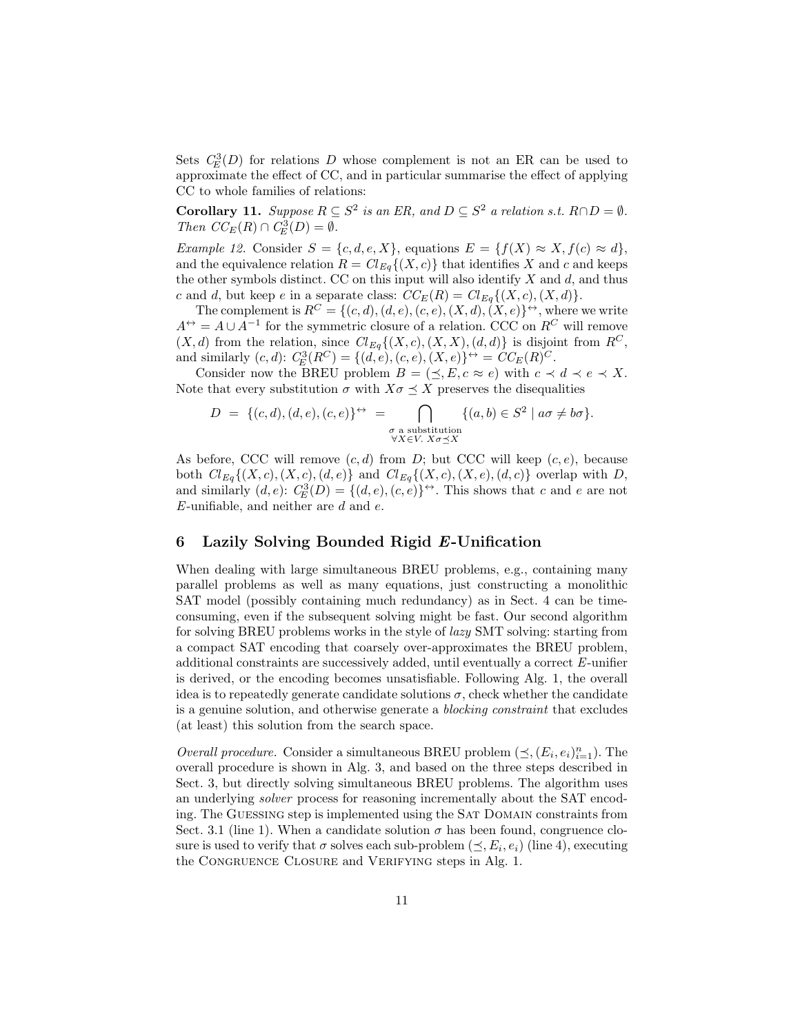Sets  $C_E^3(D)$  for relations D whose complement is not an ER can be used to approximate the effect of CC, and in particular summarise the effect of applying CC to whole families of relations:

Corollary 11. Suppose  $R \subseteq S^2$  is an ER, and  $D \subseteq S^2$  a relation s.t.  $R \cap D = \emptyset$ . Then  $CC_E(R) \cap C_E^3(D) = \emptyset$ .

Example 12. Consider  $S = \{c, d, e, X\}$ , equations  $E = \{f(X) \approx X, f(c) \approx d\}$ , and the equivalence relation  $R = Cl_{Eq}\{(X, c)\}\$  that identifies X and c and keeps the other symbols distinct. CC on this input will also identify  $X$  and  $d$ , and thus c and d, but keep e in a separate class:  $CC_E(R) = CL_{Eq} \{(X, c), (X, d)\}.$ 

The complement is  $R^C = \{(c, d), (d, e), (c, e), (X, d), (X, e)\}^{\leftrightarrow}$ , where we write  $A^{\leftrightarrow} = A \cup A^{-1}$  for the symmetric closure of a relation. CCC on  $R^C$  will remove  $(X, d)$  from the relation, since  $Cl_{Eq}\{(X, c), (X, X), (d, d)\}\$ is disjoint from  $R^C$ , and similarly  $(c, d)$ :  $C_E^3(R^C) = \{(d, e), (c, e), (X, e)\}^{\leftrightarrow} = CC_E(R)^C$ .

Consider now the BREU problem  $B = (\leq, E, c \approx e)$  with  $c \prec d \prec e \prec X$ . Note that every substitution  $\sigma$  with  $X\sigma \preceq X$  preserves the disequalities

$$
D = \{(c, d), (d, e), (c, e)\}^{\leftrightarrow} = \bigcap_{\substack{\sigma \text{ a substitution}\\ \forall X \in V. \ X \sigma \preceq X}} \{(a, b) \in S^2 \mid a\sigma \neq b\sigma\}.
$$

As before, CCC will remove  $(c, d)$  from D; but CCC will keep  $(c, e)$ , because both  $Cl_{Eq}\{(X, c), (X, c), (d, e)\}\$ and  $Cl_{Eq}\{(X, c), (X, e), (d, c)\}\$ overlap with D, and similarly  $(d, e)$ :  $C_E^3(D) = \{(d, e), (c, e)\}^{\leftrightarrow}$ . This shows that c and e are not  $E$ -unifiable, and neither are  $d$  and  $e$ .

# 6 Lazily Solving Bounded Rigid E-Unification

When dealing with large simultaneous BREU problems, e.g., containing many parallel problems as well as many equations, just constructing a monolithic SAT model (possibly containing much redundancy) as in Sect. 4 can be timeconsuming, even if the subsequent solving might be fast. Our second algorithm for solving BREU problems works in the style of lazy SMT solving: starting from a compact SAT encoding that coarsely over-approximates the BREU problem, additional constraints are successively added, until eventually a correct E-unifier is derived, or the encoding becomes unsatisfiable. Following Alg. 1, the overall idea is to repeatedly generate candidate solutions  $\sigma$ , check whether the candidate is a genuine solution, and otherwise generate a blocking constraint that excludes (at least) this solution from the search space.

*Overall procedure.* Consider a simultaneous BREU problem  $(\leq, (E_i, e_i)_{i=1}^n)$ . The overall procedure is shown in Alg. 3, and based on the three steps described in Sect. 3, but directly solving simultaneous BREU problems. The algorithm uses an underlying solver process for reasoning incrementally about the SAT encoding. The Guessing step is implemented using the Sat Domain constraints from Sect. 3.1 (line 1). When a candidate solution  $\sigma$  has been found, congruence closure is used to verify that  $\sigma$  solves each sub-problem  $(\preceq, E_i, e_i)$  (line 4), executing the Congruence Closure and Verifying steps in Alg. 1.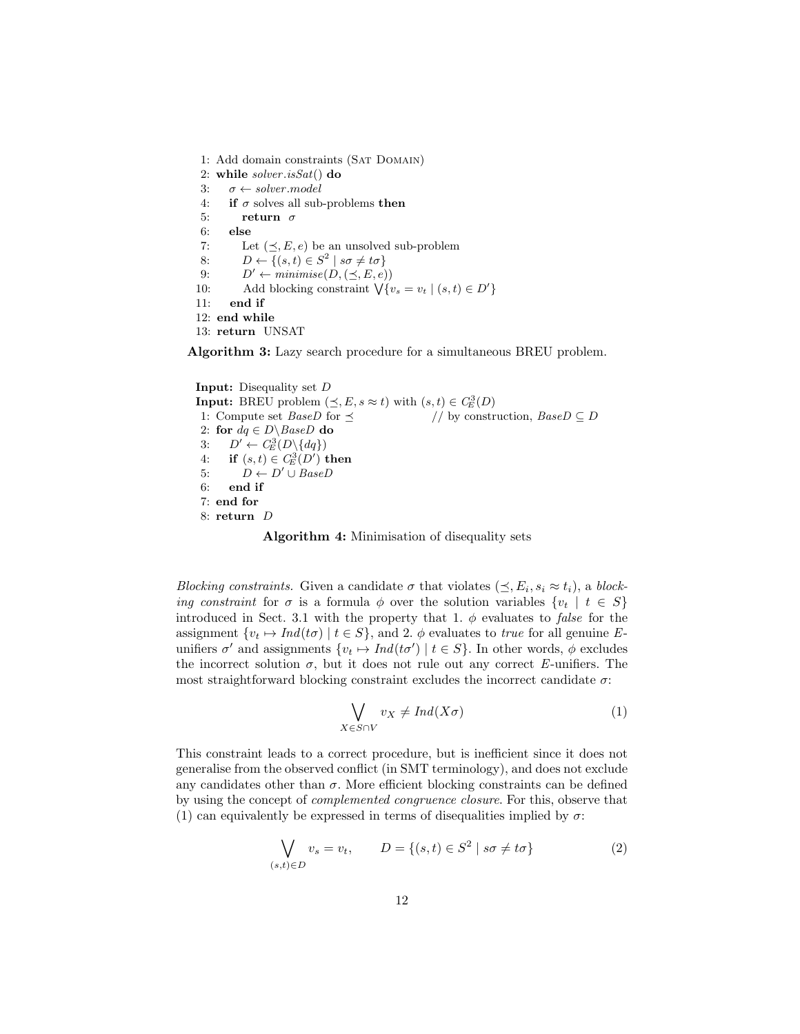1: Add domain constraints (Sat Domain) 2: while  $solver.isSat()$  do 3:  $\sigma \leftarrow solver_model$ 4: if  $\sigma$  solves all sub-problems then 5: return  $\sigma$ 6: else 7: Let  $(\preceq, E, e)$  be an unsolved sub-problem 8:  $D \leftarrow \{(s,t) \in S^2 \mid s\sigma \neq t\sigma\}$ 9:  $D' \leftarrow minimize(D, (\preceq, E, e))$ 10: Add blocking constraint  $\bigvee \{v_s = v_t \mid (s, t) \in D'\}$ 11: end if 12: end while 13: return UNSAT

Algorithm 3: Lazy search procedure for a simultaneous BREU problem.

**Input:** Disequality set  $D$ **Input:** BREU problem  $(\leq, E, s \approx t)$  with  $(s, t) \in C_E^3(D)$ 1: Compute set  $BaseD$  for  $\preceq$  // by construction,  $BaseD \subseteq D$ 2: for  $dq \in D \setminus BaseD$  do 3:  $D' \leftarrow C_E^3(D \setminus \{dq\})$ 4: if  $(s,t) \in C_{\!E}^3(D')$  then 5:  $D \leftarrow D' \cup BaseD$ 6: end if 7: end for 8: return D

Algorithm 4: Minimisation of disequality sets

Blocking constraints. Given a candidate  $\sigma$  that violates  $(\leq, E_i, s_i \approx t_i)$ , a blocking constraint for  $\sigma$  is a formula  $\phi$  over the solution variables  $\{v_t | t \in S\}$ introduced in Sect. 3.1 with the property that 1.  $\phi$  evaluates to *false* for the assignment  $\{v_t \mapsto Ind(t\sigma) \mid t \in S\}$ , and 2.  $\phi$  evaluates to true for all genuine Eunifiers  $\sigma'$  and assignments  $\{v_t \mapsto Ind(t\sigma') \mid t \in S\}$ . In other words,  $\phi$  excludes the incorrect solution  $\sigma$ , but it does not rule out any correct E-unifiers. The most straightforward blocking constraint excludes the incorrect candidate  $\sigma$ :

$$
\bigvee_{X \in S \cap V} v_X \neq Ind(X\sigma) \tag{1}
$$

This constraint leads to a correct procedure, but is inefficient since it does not generalise from the observed conflict (in SMT terminology), and does not exclude any candidates other than  $\sigma$ . More efficient blocking constraints can be defined by using the concept of complemented congruence closure. For this, observe that (1) can equivalently be expressed in terms of disequalities implied by  $\sigma$ :

$$
\bigvee_{(s,t)\in D} v_s = v_t, \qquad D = \{(s,t)\in S^2 \mid s\sigma \neq t\sigma\}
$$
 (2)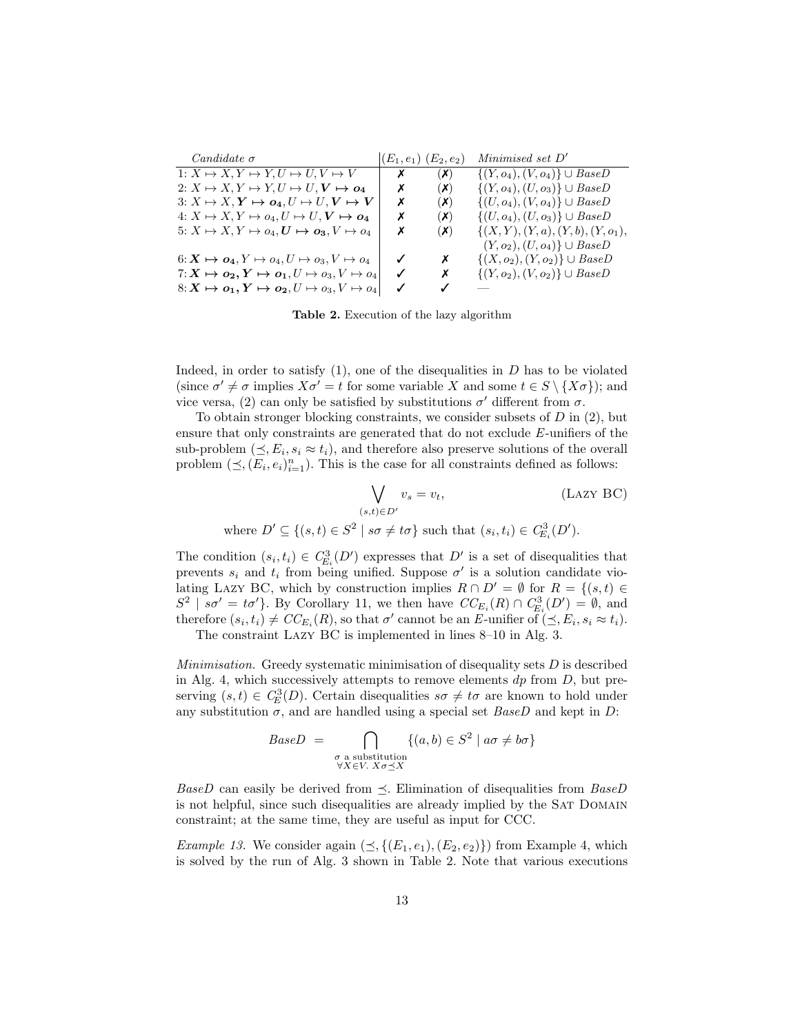| $Candidate \sigma$                                                                | $(E_1,e_1)$ $(E_2,e_2)$ |              | Minimised set D'                    |
|-----------------------------------------------------------------------------------|-------------------------|--------------|-------------------------------------|
| 1: $X \mapsto X, Y \mapsto Y, U \mapsto U, V \mapsto V$                           | X                       | (X)          | $\{(Y, o_4), (V, o_4)\}\cup BaseD$  |
| 2: $X \mapsto X, Y \mapsto Y, U \mapsto U, V \mapsto o_4$                         | X                       | (X)          | $\{(Y, o_4), (U, o_3)\}\cup BaseD$  |
| $3: X \mapsto X, Y \mapsto o_4, U \mapsto U, V \mapsto V$                         | Х                       | (X)          | $\{(U, o_4), (V, o_4)\}\cup BaseD$  |
| $4: X \mapsto X, Y \mapsto o_4, U \mapsto U, V \mapsto o_4$                       | Х                       | (X)          | $\{(U, o_4), (U, o_3)\}\cup BaseD$  |
| $5: X \mapsto X, Y \mapsto o_4, U \mapsto o_3, V \mapsto o_4$                     | X                       | (X)          | $\{(X,Y), (Y,a), (Y,b), (Y,o_1),\}$ |
|                                                                                   |                         |              | $(Y, o_2), (U, o_4) \cup BaseD$     |
| $6: \mathbf{X} \mapsto \mathbf{0}_4, Y \mapsto o_4, U \mapsto o_3, V \mapsto o_4$ | ✓                       | Х            | $\{(X, o_2), (Y, o_2)\}\cup BaseD$  |
| $7: X \mapsto o_2, Y \mapsto o_1, U \mapsto o_3, V \mapsto o_4$                   | ✓                       | X            | $\{(Y, o_2), (V, o_2)\} \cup BaseD$ |
| $8: X \mapsto o_1, Y \mapsto o_2, U \mapsto o_3, V \mapsto o_4$                   | ✓                       | $\checkmark$ |                                     |

Table 2. Execution of the lazy algorithm

Indeed, in order to satisfy  $(1)$ , one of the disequalities in D has to be violated (since  $\sigma' \neq \sigma$  implies  $X\sigma' = t$  for some variable X and some  $t \in S \setminus \{X\sigma\}$ ); and vice versa, (2) can only be satisfied by substitutions  $\sigma'$  different from  $\sigma$ .

To obtain stronger blocking constraints, we consider subsets of  $D$  in  $(2)$ , but ensure that only constraints are generated that do not exclude E-unifiers of the sub-problem  $(\leq, E_i, s_i \approx t_i)$ , and therefore also preserve solutions of the overall problem  $(\preceq,(E_i,e_i)_{i=1}^n)$ . This is the case for all constraints defined as follows:

$$
\bigvee_{(s,t)\in D'} v_s = v_t, \tag{Lazy BC}
$$

where  $D' \subseteq \{(s,t) \in S^2 \mid s\sigma \neq t\sigma\}$  such that  $(s_i,t_i) \in C_{E_i}^3(D')$ .

The condition  $(s_i, t_i) \in C_{E_i}^3(D')$  expresses that  $D'$  is a set of disequalities that prevents  $s_i$  and  $t_i$  from being unified. Suppose  $\sigma'$  is a solution candidate violating LAZY BC, which by construction implies  $R \cap D' = \emptyset$  for  $R = \{(s, t) \in$  $S^2 \mid s\sigma' = t\sigma'$ . By Corollary 11, we then have  $CC_{E_i}(R) \cap C_{E_i}^3(D') = \emptyset$ , and therefore  $(s_i, t_i) \neq CC_{E_i}(R)$ , so that  $\sigma'$  cannot be an E-unifier of  $(\preceq, E_i, s_i \approx t_i)$ .

The constraint Lazy BC is implemented in lines 8–10 in Alg. 3.

*Minimisation.* Greedy systematic minimisation of disequality sets  $D$  is described in Alg. 4, which successively attempts to remove elements  $dp$  from  $D$ , but preserving  $(s,t) \in C_E^3(D)$ . Certain disequalities  $s\sigma \neq t\sigma$  are known to hold under any substitution  $\sigma$ , and are handled using a special set *BaseD* and kept in *D*:

$$
BaseD = \bigcap_{\substack{\sigma \text{ a substitution}\\ \forall X \in V. \ X \sigma \preceq X}} \{(a, b) \in S^2 \mid a\sigma \neq b\sigma\}
$$

BaseD can easily be derived from  $\preceq$ . Elimination of disequalities from BaseD is not helpful, since such disequalities are already implied by the SAT DOMAIN constraint; at the same time, they are useful as input for CCC.

*Example 13.* We consider again  $(\leq, \{(E_1, e_1), (E_2, e_2)\})$  from Example 4, which is solved by the run of Alg. 3 shown in Table 2. Note that various executions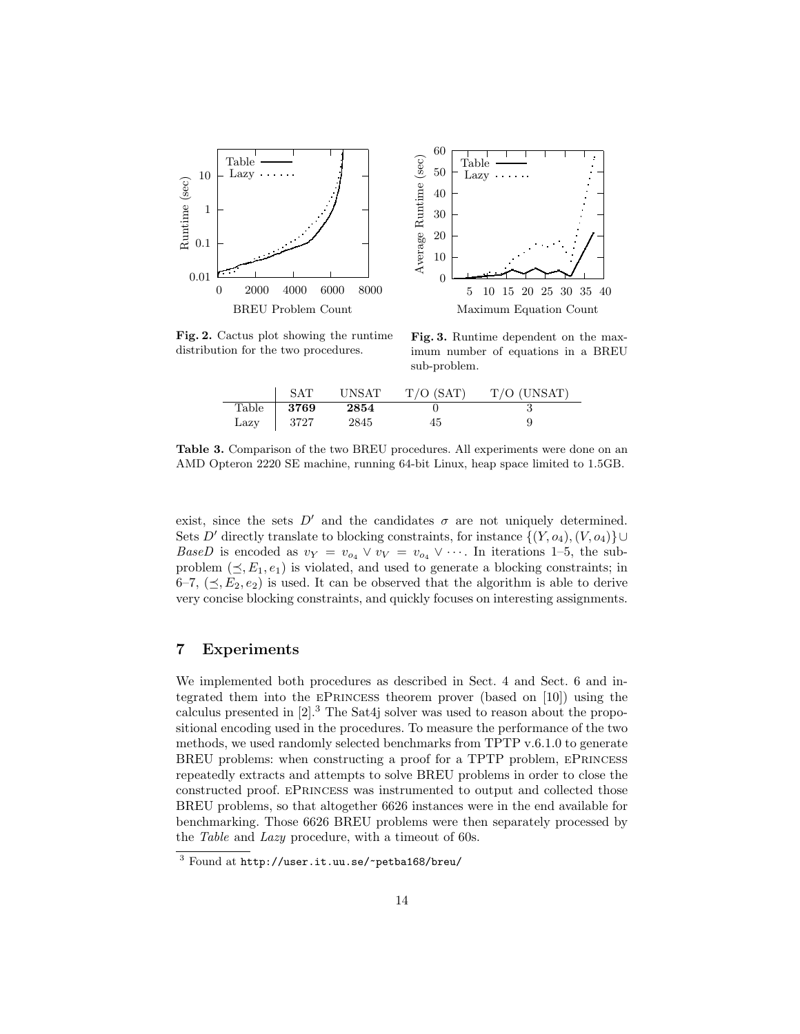

Fig. 2. Cactus plot showing the runtime distribution for the two procedures.

Fig. 3. Runtime dependent on the maximum number of equations in a BREU sub-problem.

|       | SAT  | UNSAT | T/O(SAT) | $T/O$ (UNSAT) |
|-------|------|-------|----------|---------------|
| Table | 3769 | 2854  |          |               |
| Lazy  | 3727 | 2845  |          |               |

Table 3. Comparison of the two BREU procedures. All experiments were done on an AMD Opteron 2220 SE machine, running 64-bit Linux, heap space limited to 1.5GB.

exist, since the sets D' and the candidates  $\sigma$  are not uniquely determined. Sets D' directly translate to blocking constraints, for instance  $\{(Y, o_4), (V, o_4)\}\cup$ BaseD is encoded as  $v_Y = v_{o_4} \vee v_V = v_{o_4} \vee \cdots$ . In iterations 1–5, the subproblem  $(\le, E_1, e_1)$  is violated, and used to generate a blocking constraints; in 6–7,  $(\leq, E_2, e_2)$  is used. It can be observed that the algorithm is able to derive very concise blocking constraints, and quickly focuses on interesting assignments.

# 7 Experiments

We implemented both procedures as described in Sect. 4 and Sect. 6 and integrated them into the ePrincess theorem prover (based on [10]) using the calculus presented in  $[2]^3$ . The Sat4j solver was used to reason about the propositional encoding used in the procedures. To measure the performance of the two methods, we used randomly selected benchmarks from TPTP v.6.1.0 to generate BREU problems: when constructing a proof for a TPTP problem, ePrincess repeatedly extracts and attempts to solve BREU problems in order to close the constructed proof. ePrincess was instrumented to output and collected those BREU problems, so that altogether 6626 instances were in the end available for benchmarking. Those 6626 BREU problems were then separately processed by the Table and Lazy procedure, with a timeout of 60s.

<sup>3</sup> Found at http://user.it.uu.se/~petba168/breu/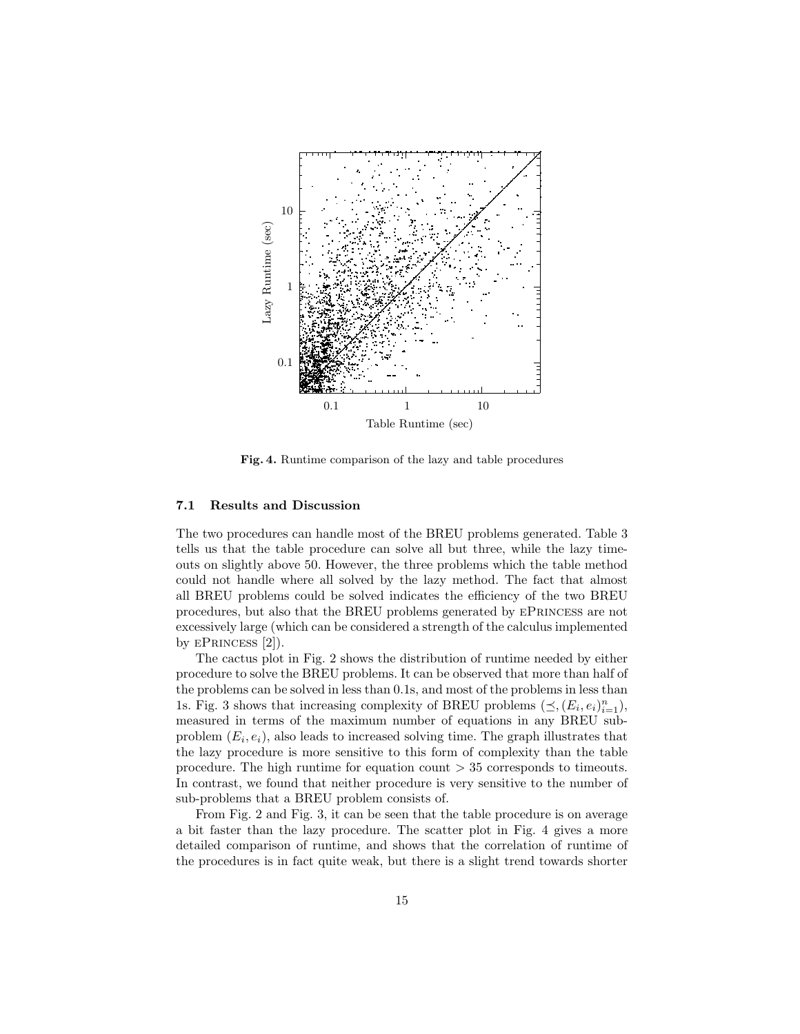

Fig. 4. Runtime comparison of the lazy and table procedures

#### 7.1 Results and Discussion

The two procedures can handle most of the BREU problems generated. Table 3 tells us that the table procedure can solve all but three, while the lazy timeouts on slightly above 50. However, the three problems which the table method could not handle where all solved by the lazy method. The fact that almost all BREU problems could be solved indicates the efficiency of the two BREU procedures, but also that the BREU problems generated by ePrincess are not excessively large (which can be considered a strength of the calculus implemented by  $EPRINCESS [2]$ .

The cactus plot in Fig. 2 shows the distribution of runtime needed by either procedure to solve the BREU problems. It can be observed that more than half of the problems can be solved in less than 0.1s, and most of the problems in less than 1s. Fig. 3 shows that increasing complexity of BREU problems  $(\preceq, (E_i, e_i)_{i=1}^n)$ , measured in terms of the maximum number of equations in any BREU subproblem  $(E_i, e_i)$ , also leads to increased solving time. The graph illustrates that the lazy procedure is more sensitive to this form of complexity than the table procedure. The high runtime for equation count > 35 corresponds to timeouts. In contrast, we found that neither procedure is very sensitive to the number of sub-problems that a BREU problem consists of.

From Fig. 2 and Fig. 3, it can be seen that the table procedure is on average a bit faster than the lazy procedure. The scatter plot in Fig. 4 gives a more detailed comparison of runtime, and shows that the correlation of runtime of the procedures is in fact quite weak, but there is a slight trend towards shorter